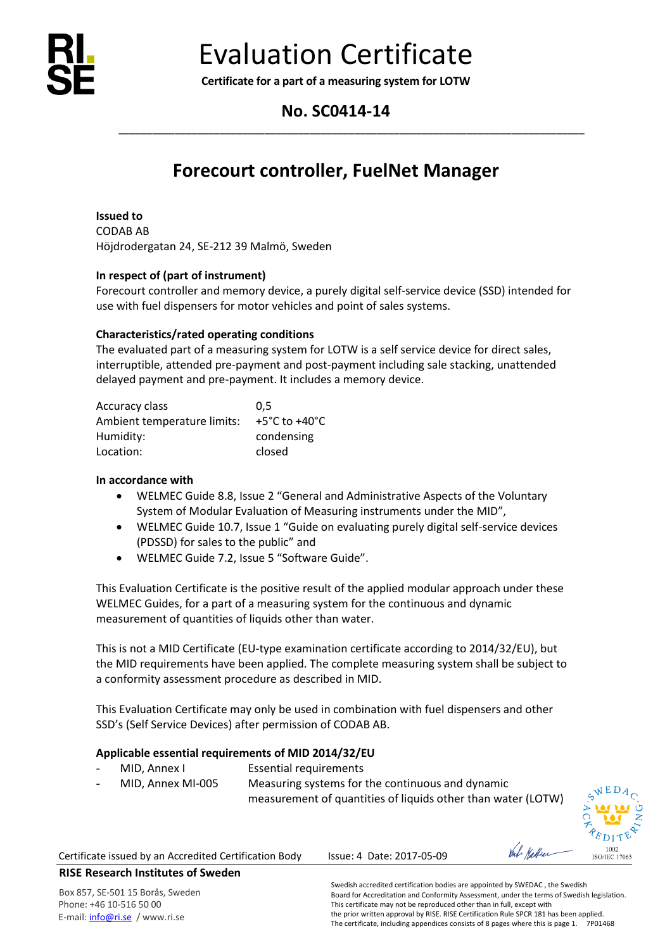

**Certificate for a part of a measuring system for LOTW**

# **No. SC0414-14**

**\_\_\_\_\_\_\_\_\_\_\_\_\_\_\_\_\_\_\_\_\_\_\_\_\_\_\_\_\_\_\_\_\_\_\_\_\_\_\_\_\_\_\_\_\_\_\_\_\_\_\_\_\_\_\_\_\_\_\_\_\_\_\_\_\_\_\_\_\_\_\_\_\_\_\_\_\_\_\_\_\_\_\_**

# **Forecourt controller, FuelNet Manager**

**Issued to** CODAB AB Höjdrodergatan 24, SE-212 39 Malmö, Sweden

# **In respect of (part of instrument)**

Forecourt controller and memory device, a purely digital self-service device (SSD) intended for use with fuel dispensers for motor vehicles and point of sales systems.

## **Characteristics/rated operating conditions**

The evaluated part of a measuring system for LOTW is a self service device for direct sales, interruptible, attended pre-payment and post-payment including sale stacking, unattended delayed payment and pre-payment. It includes a memory device.

| Accuracy class              | 0.5           |
|-----------------------------|---------------|
| Ambient temperature limits: | +5°C to +40°C |
| Humidity:                   | condensing    |
| Location:                   | closed        |

### **In accordance with**

- WELMEC Guide 8.8, Issue 2 "General and Administrative Aspects of the Voluntary System of Modular Evaluation of Measuring instruments under the MID",
- WELMEC Guide 10.7, Issue 1 "Guide on evaluating purely digital self-service devices (PDSSD) for sales to the public" and
- WELMEC Guide 7.2, Issue 5 "Software Guide".

This Evaluation Certificate is the positive result of the applied modular approach under these WELMEC Guides, for a part of a measuring system for the continuous and dynamic measurement of quantities of liquids other than water.

This is not a MID Certificate (EU-type examination certificate according to 2014/32/EU), but the MID requirements have been applied. The complete measuring system shall be subject to a conformity assessment procedure as described in MID.

This Evaluation Certificate may only be used in combination with fuel dispensers and other SSD's (Self Service Devices) after permission of CODAB AB.

### **Applicable essential requirements of MID 2014/32/EU**

- MID, Annex I Essential requirements
- 

MID, Annex MI-005 Measuring systems for the continuous and dynamic measurement of quantities of liquids other than water (LOTW)

1002 **ISO/JEC 17065** 

Certificate issued by an Accredited Certification Body Issue: 4 Date: 2017-05-09

# **RISE Research Institutes of Sweden**

Box 857, SE-501 15 Borås, Sweden Phone: +46 10-516 50 00 E-mail[: info@ri.se](mailto:info@ri.se) / www.ri.se

Swedish accredited certification bodies are appointed by SWEDAC , the Swedish Board for Accreditation and Conformity Assessment, under the terms of Swedish legislation. This certificate may not be reproduced other than in full, except with the prior written approval by RISE. RISE Certification Rule SPCR 181 has been applied. The certificate, including appendices consists of 8 pages where this is page 1. 7P01468

Val Hattra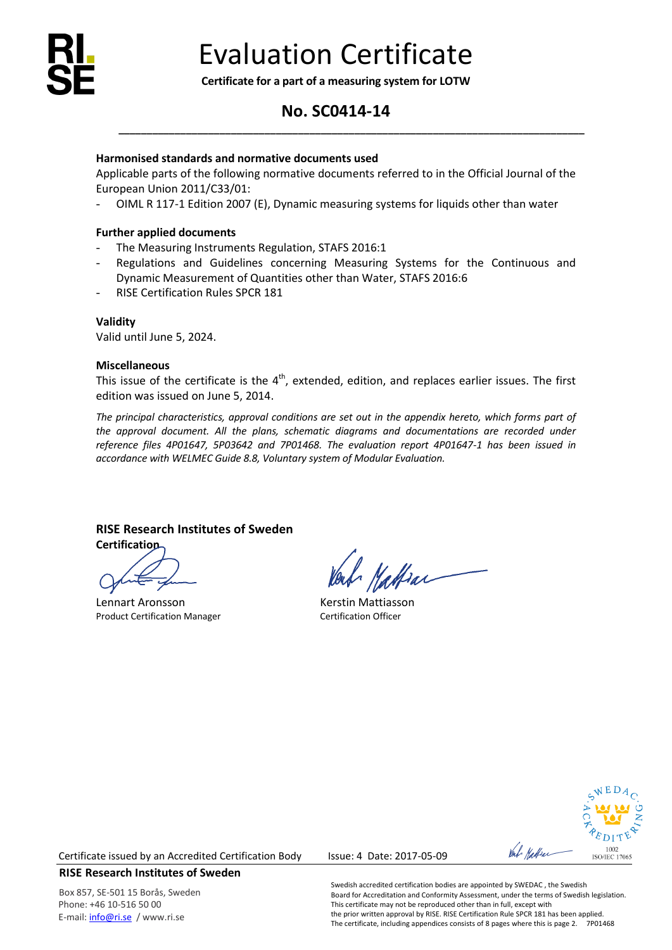

**Certificate for a part of a measuring system for LOTW**

# **No. SC0414-14**

**\_\_\_\_\_\_\_\_\_\_\_\_\_\_\_\_\_\_\_\_\_\_\_\_\_\_\_\_\_\_\_\_\_\_\_\_\_\_\_\_\_\_\_\_\_\_\_\_\_\_\_\_\_\_\_\_\_\_\_\_\_\_\_\_\_\_\_\_\_\_\_\_\_\_\_\_\_\_\_\_\_\_\_**

## **Harmonised standards and normative documents used**

Applicable parts of the following normative documents referred to in the Official Journal of the European Union 2011/C33/01:

- OIML R 117-1 Edition 2007 (E), Dynamic measuring systems for liquids other than water

### **Further applied documents**

- The Measuring Instruments Regulation, STAFS 2016:1
- Regulations and Guidelines concerning Measuring Systems for the Continuous and Dynamic Measurement of Quantities other than Water, STAFS 2016:6
- RISE Certification Rules SPCR 181

**Validity** Valid until June 5, 2024.

### **Miscellaneous**

This issue of the certificate is the  $4<sup>th</sup>$ , extended, edition, and replaces earlier issues. The first edition was issued on June 5, 2014.

*The principal characteristics, approval conditions are set out in the appendix hereto, which forms part of the approval document. All the plans, schematic diagrams and documentations are recorded under reference files 4P01647, 5P03642 and 7P01468. The evaluation report 4P01647-1 has been issued in accordance with WELMEC Guide 8.8, Voluntary system of Modular Evaluation.*

# **RISE Research Institutes of Sweden**

**Certification**

Lennart Aronsson **Exercise Secure 2018**<br>
Renault Certification Manager<br>
Certification Officer Product Certification Manager

Vattrar



Certificate issued by an Accredited Certification Body Issue: 4 Date: 2017-05-09

# **RISE Research Institutes of Sweden**

Box 857, SE-501 15 Borås, Sweden Phone: +46 10-516 50 00 E-mail[: info@ri.se](mailto:info@ri.se) / www.ri.se

Swedish accredited certification bodies are appointed by SWEDAC , the Swedish Board for Accreditation and Conformity Assessment, under the terms of Swedish legislation. This certificate may not be reproduced other than in full, except with the prior written approval by RISE. RISE Certification Rule SPCR 181 has been applied. The certificate, including appendices consists of 8 pages where this is page 2. 7P01468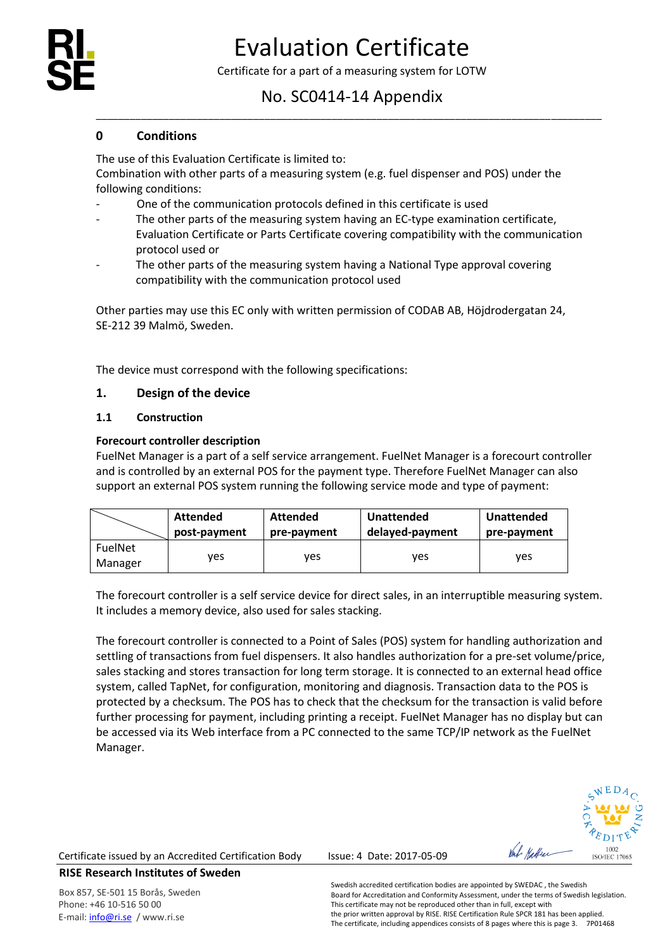

Certificate for a part of a measuring system for LOTW

# No. SC0414-14 Appendix

\_\_\_\_\_\_\_\_\_\_\_\_\_\_\_\_\_\_\_\_\_\_\_\_\_\_\_\_\_\_\_\_\_\_\_\_\_\_\_\_\_\_\_\_\_\_\_\_\_\_\_\_\_\_\_\_\_\_\_\_\_\_\_\_\_\_\_\_\_\_\_\_\_\_\_\_\_\_\_\_\_\_\_\_\_\_\_\_\_\_

# **0 Conditions**

The use of this Evaluation Certificate is limited to:

Combination with other parts of a measuring system (e.g. fuel dispenser and POS) under the following conditions:

- One of the communication protocols defined in this certificate is used
- The other parts of the measuring system having an EC-type examination certificate, Evaluation Certificate or Parts Certificate covering compatibility with the communication protocol used or
- The other parts of the measuring system having a National Type approval covering compatibility with the communication protocol used

Other parties may use this EC only with written permission of CODAB AB, Höjdrodergatan 24, SE-212 39 Malmö, Sweden.

The device must correspond with the following specifications:

# **1. Design of the device**

# **1.1 Construction**

# **Forecourt controller description**

FuelNet Manager is a part of a self service arrangement. FuelNet Manager is a forecourt controller and is controlled by an external POS for the payment type. Therefore FuelNet Manager can also support an external POS system running the following service mode and type of payment:

|                           | <b>Attended</b> | Attended    | <b>Unattended</b> | <b>Unattended</b> |  |
|---------------------------|-----------------|-------------|-------------------|-------------------|--|
|                           | post-payment    | pre-payment | delayed-payment   | pre-payment       |  |
| <b>FuelNet</b><br>Manager | ves             | ves         | ves               | ves               |  |

The forecourt controller is a self service device for direct sales, in an interruptible measuring system. It includes a memory device, also used for sales stacking.

The forecourt controller is connected to a Point of Sales (POS) system for handling authorization and settling of transactions from fuel dispensers. It also handles authorization for a pre-set volume/price, sales stacking and stores transaction for long term storage. It is connected to an external head office system, called TapNet, for configuration, monitoring and diagnosis. Transaction data to the POS is protected by a checksum. The POS has to check that the checksum for the transaction is valid before further processing for payment, including printing a receipt. FuelNet Manager has no display but can be accessed via its Web interface from a PC connected to the same TCP/IP network as the FuelNet Manager.

1002 **ISO/JEC 17065** 

Certificate issued by an Accredited Certification Body Issue: 4 Date: 2017-05-09

**RISE Research Institutes of Sweden**

Box 857, SE-501 15 Borås, Sweden Phone: +46 10-516 50 00 E-mail[: info@ri.se](mailto:info@ri.se) / www.ri.se

Swedish accredited certification bodies are appointed by SWEDAC , the Swedish Board for Accreditation and Conformity Assessment, under the terms of Swedish legislation. This certificate may not be reproduced other than in full, except with the prior written approval by RISE. RISE Certification Rule SPCR 181 has been applied. The certificate, including appendices consists of 8 pages where this is page 3. 7P01468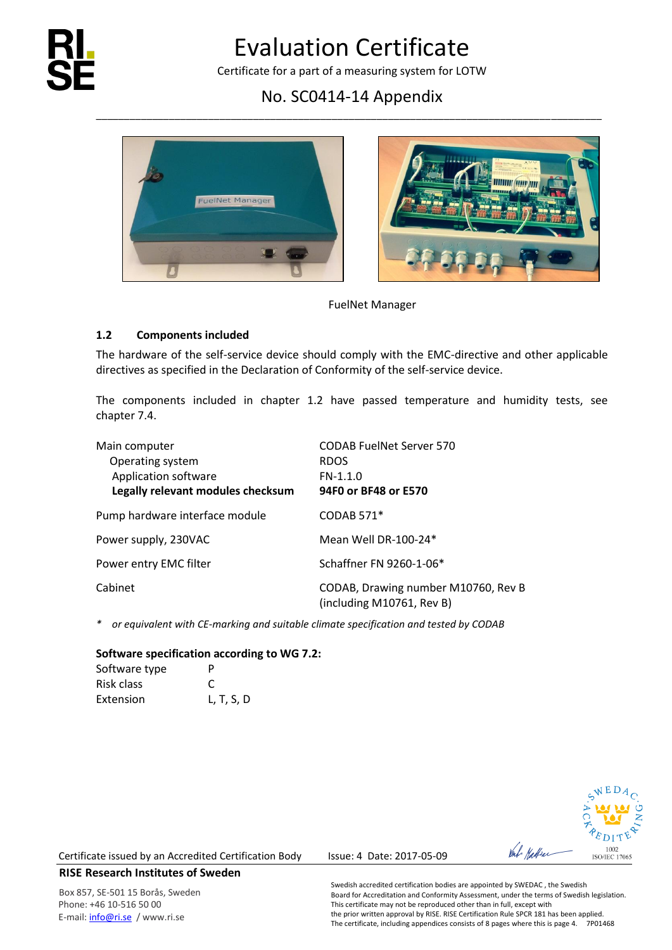

Certificate for a part of a measuring system for LOTW

# No. SC0414-14 Appendix \_\_\_\_\_\_\_\_\_\_\_\_\_\_\_\_\_\_\_\_\_\_\_\_\_\_\_\_\_\_\_\_\_\_\_\_\_\_\_\_\_\_\_\_\_\_\_\_\_\_\_\_\_\_\_\_\_\_\_\_\_\_\_\_\_\_\_\_\_\_\_\_\_\_\_\_\_\_\_\_\_\_\_\_\_\_\_\_\_\_





FuelNet Manager

# **1.2 Components included**

The hardware of the self-service device should comply with the EMC-directive and other applicable directives as specified in the Declaration of Conformity of the self-service device.

The components included in chapter 1.2 have passed temperature and humidity tests, see chapter 7.4.

| Main computer<br>Operating system<br>Application software<br>Legally relevant modules checksum | <b>CODAB FuelNet Server 570</b><br><b>RDOS</b><br>$FN-1.1.0$<br>94F0 or BF48 or E570 |
|------------------------------------------------------------------------------------------------|--------------------------------------------------------------------------------------|
| Pump hardware interface module                                                                 | <b>CODAB 571*</b>                                                                    |
| Power supply, 230VAC                                                                           | Mean Well DR-100-24*                                                                 |
| Power entry EMC filter                                                                         | Schaffner FN 9260-1-06*                                                              |
| Cabinet                                                                                        | CODAB, Drawing number M10760, Rev B<br>(including M10761, Rev B)                     |

*\* or equivalent with CE-marking and suitable climate specification and tested by CODAB*

### **Software specification according to WG 7.2:**

| Software type | P             |
|---------------|---------------|
| Risk class    | $\mathcal{C}$ |
| Extension     | L, T, S, D    |



Certificate issued by an Accredited Certification Body Issue: 4 Date: 2017-05-09

# **RISE Research Institutes of Sweden**

Box 857, SE-501 15 Borås, Sweden Phone: +46 10-516 50 00 E-mail[: info@ri.se](mailto:info@ri.se) / www.ri.se

Swedish accredited certification bodies are appointed by SWEDAC , the Swedish Board for Accreditation and Conformity Assessment, under the terms of Swedish legislation. This certificate may not be reproduced other than in full, except with the prior written approval by RISE. RISE Certification Rule SPCR 181 has been applied. The certificate, including appendices consists of 8 pages where this is page 4. 7P01468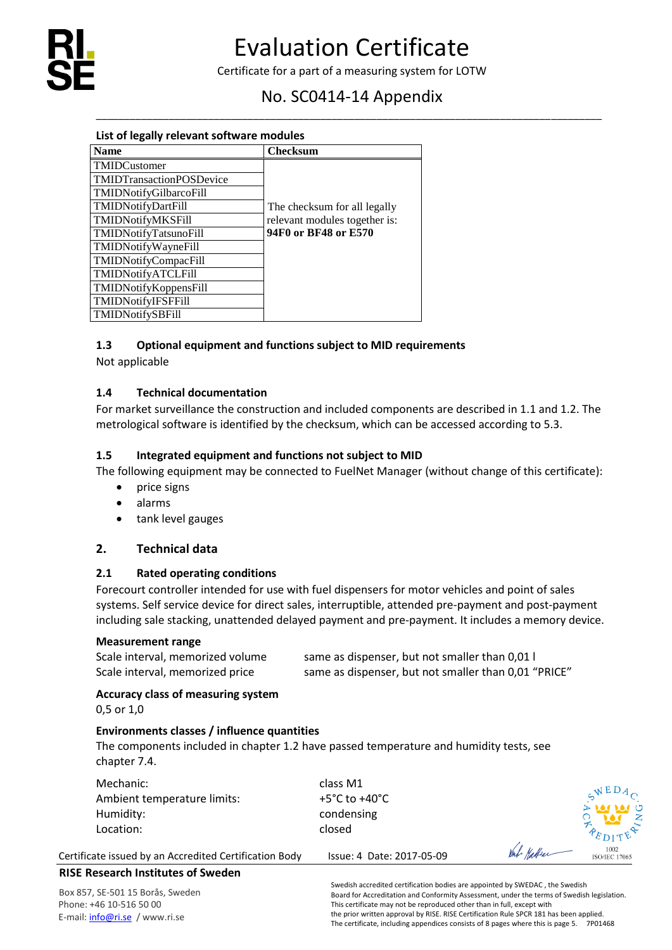

# No. SC0414-14 Appendix \_\_\_\_\_\_\_\_\_\_\_\_\_\_\_\_\_\_\_\_\_\_\_\_\_\_\_\_\_\_\_\_\_\_\_\_\_\_\_\_\_\_\_\_\_\_\_\_\_\_\_\_\_\_\_\_\_\_\_\_\_\_\_\_\_\_\_\_\_\_\_\_\_\_\_\_\_\_\_\_\_\_\_\_\_\_\_\_\_\_

| List of legally relevant software modules |                               |  |  |  |
|-------------------------------------------|-------------------------------|--|--|--|
| <b>Name</b>                               | <b>Checksum</b>               |  |  |  |
| TMIDCustomer                              |                               |  |  |  |
| <b>TMIDTransactionPOSDevice</b>           |                               |  |  |  |
| <b>TMIDNotifyGilbarcoFill</b>             |                               |  |  |  |
| <b>TMIDNotifyDartFill</b>                 | The checksum for all legally  |  |  |  |
| <b>TMIDNotifyMKSFill</b>                  | relevant modules together is: |  |  |  |
| TMIDNotifyTatsunoFill                     | 94F0 or BF48 or E570          |  |  |  |
| <b>TMIDNotifyWayneFill</b>                |                               |  |  |  |
| TMIDNotifyCompacFill                      |                               |  |  |  |
| TMIDNotifyATCLFill                        |                               |  |  |  |
| <b>TMIDNotifyKoppensFill</b>              |                               |  |  |  |
| <b>TMIDNotifyIFSFFill</b>                 |                               |  |  |  |
| <b>TMIDNotifySBFill</b>                   |                               |  |  |  |

# **1.3 Optional equipment and functions subject to MID requirements**

Not applicable

# **1.4 Technical documentation**

For market surveillance the construction and included components are described in 1.1 and 1.2. The metrological software is identified by the checksum, which can be accessed according to 5.3.

# **1.5 Integrated equipment and functions not subject to MID**

The following equipment may be connected to FuelNet Manager (without change of this certificate):

- price signs
- alarms
- tank level gauges

# **2. Technical data**

# **2.1 Rated operating conditions**

Forecourt controller intended for use with fuel dispensers for motor vehicles and point of sales systems. Self service device for direct sales, interruptible, attended pre-payment and post-payment including sale stacking, unattended delayed payment and pre-payment. It includes a memory device.

### **Measurement range**

Scale interval, memorized volume same as dispenser, but not smaller than 0,01 l Scale interval, memorized price same as dispenser, but not smaller than 0,01 "PRICE"

# **Accuracy class of measuring system**

0,5 or 1,0

# **Environments classes / influence quantities**

The components included in chapter 1.2 have passed temperature and humidity tests, see chapter 7.4.

| Mechanic:<br>Ambient temperature limits:<br>Humidity:<br>Location: | class M1<br>+5°C to +40°C<br>condensing<br>closed |            | $\sqrt{E}D_A$<br>$\frac{1}{2}$ |
|--------------------------------------------------------------------|---------------------------------------------------|------------|--------------------------------|
| Certificate issued by an Accredited Certification Body             | Issue: 4 Date: 2017-05-09                         | Val Hattan | 1002<br><b>ISO/JEC 17065</b>   |

# **RISE Research Institutes of Sweden**

Box 857, SE-501 15 Borås, Sweden Phone: +46 10-516 50 00 E-mail[: info@ri.se](mailto:info@ri.se) / www.ri.se

Swedish accredited certification bodies are appointed by SWEDAC , the Swedish Board for Accreditation and Conformity Assessment, under the terms of Swedish legislation. This certificate may not be reproduced other than in full, except with the prior written approval by RISE. RISE Certification Rule SPCR 181 has been applied. The certificate, including appendices consists of 8 pages where this is page 5. 7P01468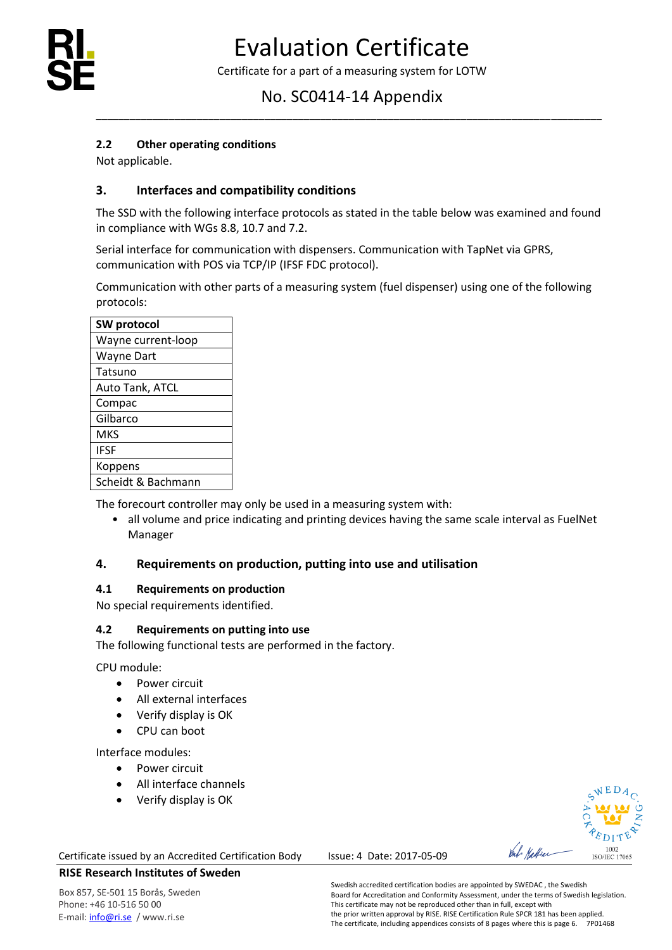

# No. SC0414-14 Appendix \_\_\_\_\_\_\_\_\_\_\_\_\_\_\_\_\_\_\_\_\_\_\_\_\_\_\_\_\_\_\_\_\_\_\_\_\_\_\_\_\_\_\_\_\_\_\_\_\_\_\_\_\_\_\_\_\_\_\_\_\_\_\_\_\_\_\_\_\_\_\_\_\_\_\_\_\_\_\_\_\_\_\_\_\_\_\_\_\_\_

# **2.2 Other operating conditions**

Not applicable.

# **3. Interfaces and compatibility conditions**

The SSD with the following interface protocols as stated in the table below was examined and found in compliance with WGs 8.8, 10.7 and 7.2.

Serial interface for communication with dispensers. Communication with TapNet via GPRS, communication with POS via TCP/IP (IFSF FDC protocol).

Communication with other parts of a measuring system (fuel dispenser) using one of the following protocols:

| SW protocol        |
|--------------------|
| Wayne current-loop |
| <b>Wayne Dart</b>  |
| Tatsuno            |
| Auto Tank, ATCL    |
| Compac             |
| Gilbarco           |
| MKS                |
| <b>IFSF</b>        |
| Koppens            |
| Scheidt & Bachmann |

The forecourt controller may only be used in a measuring system with:

• all volume and price indicating and printing devices having the same scale interval as FuelNet Manager

# **4. Requirements on production, putting into use and utilisation**

### **4.1 Requirements on production**

No special requirements identified.

# **4.2 Requirements on putting into use**

The following functional tests are performed in the factory.

CPU module:

- Power circuit
- All external interfaces
- Verify display is OK
- CPU can boot

Interface modules:

- Power circuit
- All interface channels
- Verify display is OK

#### Certificate issued by an Accredited Certification Body Issue: 4 Date: 2017-05-09



Box 857, SE-501 15 Borås, Sweden Phone: +46 10-516 50 00 E-mail[: info@ri.se](mailto:info@ri.se) / www.ri.se

Val Hattrar

1002<br>ISO/IEC 17065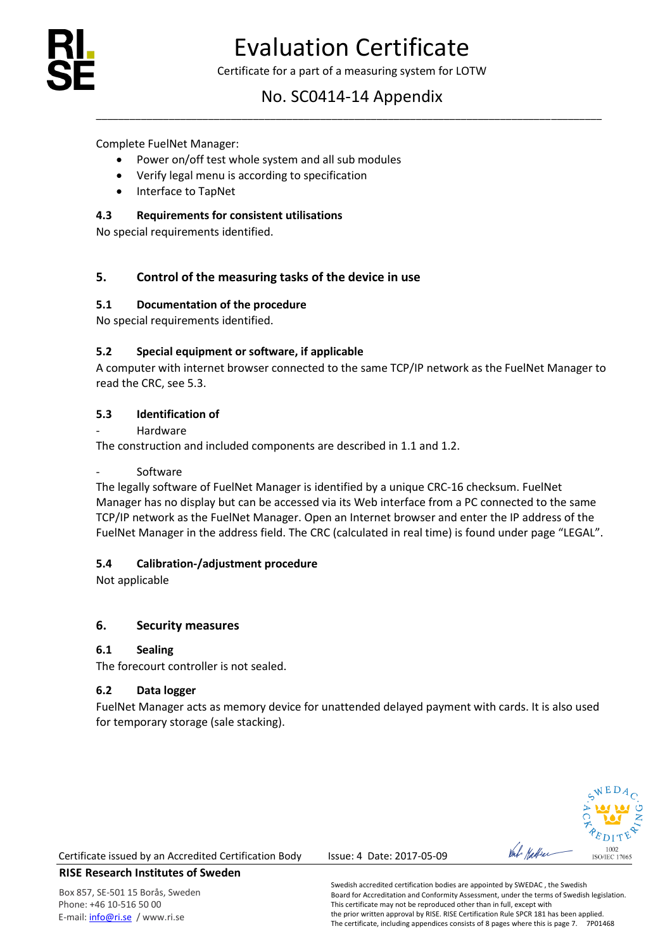

# No. SC0414-14 Appendix \_\_\_\_\_\_\_\_\_\_\_\_\_\_\_\_\_\_\_\_\_\_\_\_\_\_\_\_\_\_\_\_\_\_\_\_\_\_\_\_\_\_\_\_\_\_\_\_\_\_\_\_\_\_\_\_\_\_\_\_\_\_\_\_\_\_\_\_\_\_\_\_\_\_\_\_\_\_\_\_\_\_\_\_\_\_\_\_\_\_

Complete FuelNet Manager:

- Power on/off test whole system and all sub modules
- Verify legal menu is according to specification
- Interface to TapNet

# **4.3 Requirements for consistent utilisations**

No special requirements identified.

# **5. Control of the measuring tasks of the device in use**

# **5.1 Documentation of the procedure**

No special requirements identified.

# **5.2 Special equipment or software, if applicable**

A computer with internet browser connected to the same TCP/IP network as the FuelNet Manager to read the CRC, see 5.3.

# **5.3 Identification of**

**Hardware** 

The construction and included components are described in 1.1 and 1.2.

## **Software**

The legally software of FuelNet Manager is identified by a unique CRC-16 checksum. FuelNet Manager has no display but can be accessed via its Web interface from a PC connected to the same TCP/IP network as the FuelNet Manager. Open an Internet browser and enter the IP address of the FuelNet Manager in the address field. The CRC (calculated in real time) is found under page "LEGAL".

# **5.4 Calibration-/adjustment procedure**

Not applicable

# **6. Security measures**

# **6.1 Sealing**

The forecourt controller is not sealed.

# **6.2 Data logger**

FuelNet Manager acts as memory device for unattended delayed payment with cards. It is also used for temporary storage (sale stacking).



Certificate issued by an Accredited Certification Body Issue: 4 Date: 2017-05-09

# **RISE Research Institutes of Sweden**

Box 857, SE-501 15 Borås, Sweden Phone: +46 10-516 50 00 E-mail[: info@ri.se](mailto:info@ri.se) / www.ri.se

Swedish accredited certification bodies are appointed by SWEDAC , the Swedish Board for Accreditation and Conformity Assessment, under the terms of Swedish legislation. This certificate may not be reproduced other than in full, except with the prior written approval by RISE. RISE Certification Rule SPCR 181 has been applied. The certificate, including appendices consists of 8 pages where this is page 7. 7P01468